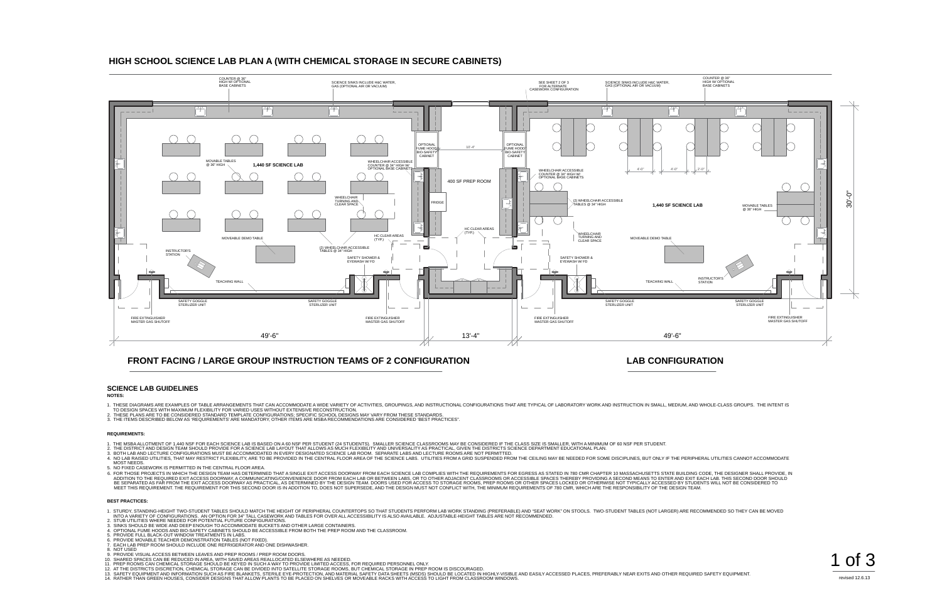- 1. THESE DIAGRAMS ARE EXAMPLES OF TABLE ARRANGEMENTS THAT CAN ACCOMMODATE A WIDE VARIETY OF ACTIVITIES, GROUPINGS, AND INSTRUCTIONAL CONFIGURATIONS THAT ARE TYPICAL OF LABORATORY WORK AND INSTRUCTION IN SMALL, MEDIUM, AND
- TO DESIGN SPACES WITH MAXIMUM FLEXIBILITY FOR VARIED USES WITHOUT EXTENSIVE RECONSTRUCTION.<br>2. THESE PLANS ARE TO BE CONSIDERED STANDARD TEMPLATE CONFIGURATIONS; SPECIFIC SCHOOL DESIGNS MAY VARY FROM THESE STANDARDS.
- 3. THE ITEMS DESCRIBED BELOW AS 'REQUIREMENTS' ARE MANDATORY, OTHER ITEMS ARE MSBA RECOMMENDATIONS ARE CONSIDERED 'BEST PRACTICES".

- 1. THE MSBA ALLOTMENT OF 1,440 NSF FOR EACH SCIENCE LAB IS BASED ON A 60 NSF PER STUDENT (24 STUDENTS). SMALLER SCIENCE CLASSROOMS MAY BE CONSIDERED IF THE CLASS SIZE IS SMALLER, WITH A MINIMUM OF 60 NSF PER STUDENT.
- 
- 2. THE DISTRICT AND DESIGN TEAM SHOULD PROVIDE FOR A SCIENCE LAB LAYOUT THAT ALLOWS AS MUCH FLEXIBILITY AND UNIVERSALITY AS PRACTICAL, GIVEN THE DISTRICTS SCIENCE DEPARTMENT EDUCATIONAL PLAN.<br>3. BOTH LAB AND LECTURE CONFIG MOST NEEDS.
- 5. NO FIXED CASEWORK IS PERMITTED IN THE CENTRAL FLOOR AREA.
- .<br>E. FOR THOSE PROJECTS IN WHICH THE DESIGN TEAM HAS DETERMINED THAT A SINGLE EXIT ACCESS DOORWAY FROM EACH SCIENCE LAB COMPLIES WITH THE REQUIREMENTS FOR EGRESS AS STATED IN 780 CMR CHAPTER 10 MASSACHUSETTS STATE BUILDING BE SEPARATED AS FAR FROM THE EXIT ACCESS DOORWAY AS PRACTICAL, AS DETERMINED BY THE DESIGN TEAM. DOORS USED FOR ACCESS TO STORAGE ROOMS, PREP ROOMS OR OTHER SPACES LOCKED OR OTHERWISE NOT TYPICALLY ACCESSED BY STUDENTS WIL

### **HIGH SCHOOL SCIENCE LAB PLAN A (WITH CHEMICAL STORAGE IN SECURE CABINETS)**

## **FRONT FACING / LARGE GROUP INSTRUCTION TEAMS OF 2 CONFIGURATION**

### **LAB CONFIGURATION**

**NOTES:**

#### **REQUIREMENTS:**

#### **BEST PRACTICES:**

- 1. STURDY, STANDING-HEIGHT TWO-STUDENT TABLES SHOULD MATCH THE HEIGHT OF PERIPHERAL COUNTERTOPS SO THAT STUDENTS PERFORM LAB WORK STANDING (PREFERABLE) AND "SEAT WORK" ON STOOLS. TWO-STUDENT TABLES (NOT LARGER) ARE RECOMME NTO A VARIETY OF CONFIGURATIONS. AN OPTION FOR 34" TALL CASEWORK AND TABLES FOR OVER ALL ACCESSIBILITY IS ALSO AVAILABLE. ADJUSTABLE-HEIGHT TABLES ARE NOT RECOMMENDED.<br>2. STUB UTILITIES WHERE NEEDED FOR POTENTIAL FUTURE
- 
- 
- 4. OPTIONAL FUME HOODS AND BIO-SAFETY CABINETS SHOULD BE ACCESSIBLE FROM BOTH THE PREP ROOM AND THE CLASSROOM.<br>5. PROVIDE FULL BLACK-OUT WINDOW TREATMENTS IN LABS.
- 
- 6. PROVIDE MOVABLE TEACHER DEMONSTRATION TABLES (NOT FIXED). 7. EACH LAB PREP ROOM SHOULD INCLUDE ONE REFRIGERATOR AND ONE DISHWASHER.
- 
- 
- 
- 
- 
- 
- 8. NOT USED<br>9. PROVIDE VISUAL ACCESS BETWEEN LEAVES AND PREP ROOMS / PREP ROOM DOORS.<br>10. SHARED SPACES CAN BE REDUCED IN AREA, WITH SAVED AREAS REALLOCATED ELSEWHERE AS NEEDED.<br>11. SHARED SPACES CAN BE REDUCED IN AREA, WI





revised 12.6.13

### **SCIENCE LAB GUIDELINES**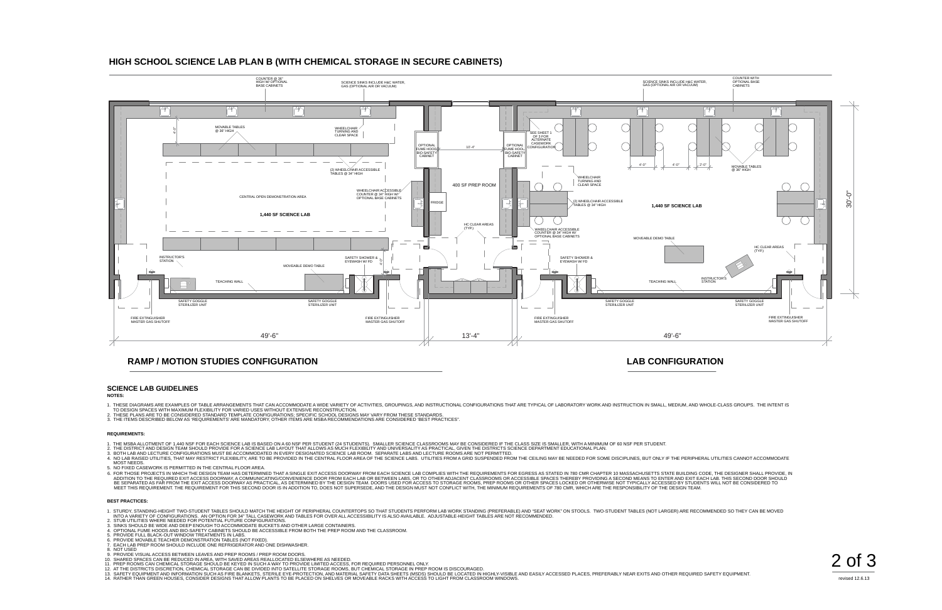

revised 12.6.13

## **HIGH SCHOOL SCIENCE LAB PLAN B (WITH CHEMICAL STORAGE IN SECURE CABINETS)**

### **RAMP / MOTION STUDIES CONFIGURATION**

### **LAB CONFIGURATION**

- 1. THESE DIAGRAMS ARE EXAMPLES OF TABLE ARRANGEMENTS THAT CAN ACCOMMODATE A WIDE VARIETY OF ACTIVITIES, GROUPINGS, AND INSTRUCTIONAL CONFIGURATIONS THAT ARE TYPICAL OF LABORATORY WORK AND INSTRUCTION IN SMALL, MEDIUM, AND
- TO DESIGN SPACES WITH MAXIMUM FLEXIBILITY FOR VARIED USES WITHOUT EXTENSIVE RECONSTRUCTION.<br>2. THESE PLANS ARE TO BE CONSIDERED STANDARD TEMPLATE CONFIGURATIONS; SPECIFIC SCHOOL DESIGNS MAY VARY FROM THESE STANDARDS.
- 3. THE ITEMS DESCRIBED BELOW AS 'REQUIREMENTS' ARE MANDATORY, OTHER ITEMS ARE MSBA RECOMMENDATIONS ARE CONSIDERED 'BEST PRACTICES".

- 1. THE MSBA ALLOTMENT OF 1,440 NSF FOR EACH SCIENCE LAB IS BASED ON A 60 NSF PER STUDENT (24 STUDENTS). SMALLER SCIENCE CLASSROOMS MAY BE CONSIDERED IF THE CLASS SIZE IS SMALLER, WITH A MINIMUM OF 60 NSF PER STUDENT.
- 
- 2. THE DISTRICT AND DESIGN TEAM SHOULD PROVIDE FOR A SCIENCE LAB LAYOUT THAT ALLOWS AS MUCH FLEXIBILITY AND UNIVERSALITY AS PRACTICAL, GIVEN THE DISTRICTS SCIENCE DEPARTMENT EDUCATIONAL PLAN.<br>3. BOTH LAB AND LECTURE CONFIG MOST NEEDS.
- 5. NO FIXED CASEWORK IS PERMITTED IN THE CENTRAL FLOOR AREA.
- 6. FOR THOSE PROJECTS IN WHICH THE DESIGN TEAM HAS DETERMINED THAT A SINGLE EXIT ACCESS DOORWAY FROM EACH SCIENCE LAB COMPLIES WITH THE REQUIREMENTS FOR EGRESS AS STATED IN 780 CMR CHAPTER 10 MASSACHUSETTS STATE BUILDING C

#### **NOTES:**

#### **REQUIREMENTS:**



#### **BEST PRACTICES:**

- 1. STURDY, STANDING-HEIGHT TWO-STUDENT TABLES SHOULD MATCH THE HEIGHT OF PERIPHERAL COUNTERTOPS SO THAT STUDENTS PERFORM LAB WORK STANDING (PREFERABLE) AND "SEAT WORK" ON STOOLS. TWO-STUDENT TABLES (NOT LARGER) ARE RECOMME INTO A VARIETY OF CONFIGURATIONS. AN OPTION FOR 34" TALL CASEWORK AND TABLES FOR OVER ALL ACCESSIBILITY IS ALSO AVAILABLE. ADJUSTABLE-HEIGHT TABLES ARE NOT RECOMMENDED.<br>2. STUB UTILITIES WHERE NEEDED FOR POTENTIAL FUTURE
- 
- 
- 3. SINKS SHOULD BE WIDE AND DEEP ENOUGH TO ACCOMMODATE BUCKETS AND OTHER LARGE CONTAINERS.<br>4. OPTIONAL FUME HOODS AND BIO-SAFETY CABINETS SHOULD BE ACCESSIBLE FROM BOTH THE PREP ROOM AND THE CLASSROOM.<br>5. PROVIDE FULL BLA
- 
- 
- 6. PROVIDE MOVABLE TEACHER DEMONSTRATION TABLES (NOT FIXED). 7. EACH LAB PREP ROOM SHOULD INCLUDE ONE REFRIGERATOR AND ONE DISHWASHER.
- 
- 
- 
- 
- 
- 
- 8. NOT USED<br>9. PROVIDE VISUAL ACCESS BETWEEN LEAVES AND PREP ROOMS / PREP ROOM DOORS.<br>10. SHARED SPACES CAN BE REDUCED IN AREA, WITH SAVED AREAS REALLOCATED ELSEWHERE AS NEEDED.<br>11. SHARED SPACES CAN BE REDUCED IN AREA, WI

### **SCIENCE LAB GUIDELINES**